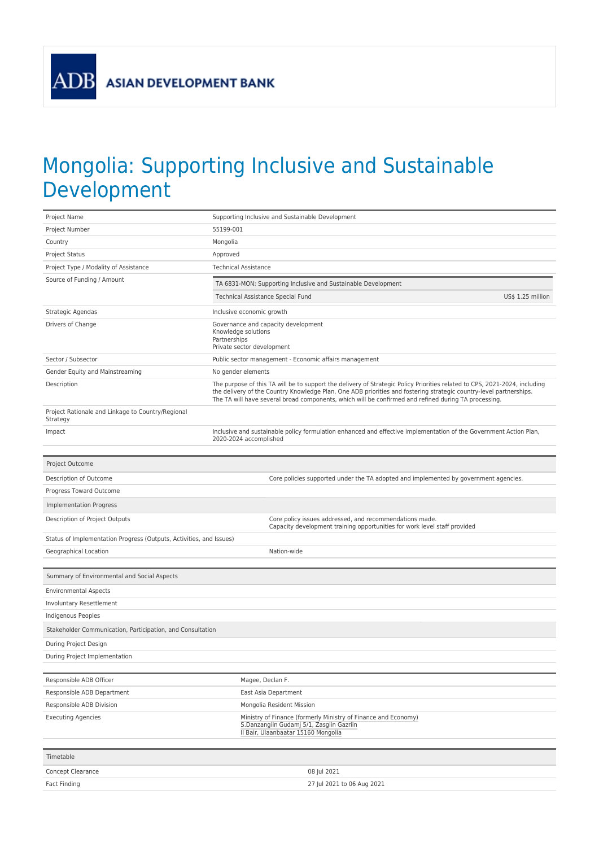**ASIAN DEVELOPMENT BANK** 

**ADB** 

## Mongolia: Supporting Inclusive and Sustainable Development

| Project Name                                                        | Supporting Inclusive and Sustainable Development                                                                                                                                                                                                                                                                                                         |  |  |  |  |
|---------------------------------------------------------------------|----------------------------------------------------------------------------------------------------------------------------------------------------------------------------------------------------------------------------------------------------------------------------------------------------------------------------------------------------------|--|--|--|--|
| Project Number                                                      | 55199-001                                                                                                                                                                                                                                                                                                                                                |  |  |  |  |
| Country                                                             | Mongolia                                                                                                                                                                                                                                                                                                                                                 |  |  |  |  |
| Project Status                                                      | Approved                                                                                                                                                                                                                                                                                                                                                 |  |  |  |  |
| Project Type / Modality of Assistance                               | <b>Technical Assistance</b>                                                                                                                                                                                                                                                                                                                              |  |  |  |  |
| Source of Funding / Amount                                          | TA 6831-MON: Supporting Inclusive and Sustainable Development                                                                                                                                                                                                                                                                                            |  |  |  |  |
|                                                                     | US\$ 1.25 million<br>Technical Assistance Special Fund                                                                                                                                                                                                                                                                                                   |  |  |  |  |
| Strategic Agendas                                                   | Inclusive economic growth                                                                                                                                                                                                                                                                                                                                |  |  |  |  |
| Drivers of Change                                                   | Governance and capacity development<br>Knowledge solutions<br>Partnerships<br>Private sector development                                                                                                                                                                                                                                                 |  |  |  |  |
| Sector / Subsector                                                  | Public sector management - Economic affairs management                                                                                                                                                                                                                                                                                                   |  |  |  |  |
| Gender Equity and Mainstreaming                                     | No gender elements                                                                                                                                                                                                                                                                                                                                       |  |  |  |  |
| Description                                                         | The purpose of this TA will be to support the delivery of Strategic Policy Priorities related to CPS, 2021-2024, including<br>the delivery of the Country Knowledge Plan, One ADB priorities and fostering strategic country-level partnerships.<br>The TA will have several broad components, which will be confirmed and refined during TA processing. |  |  |  |  |
| Project Rationale and Linkage to Country/Regional<br>Strategy       |                                                                                                                                                                                                                                                                                                                                                          |  |  |  |  |
| Impact                                                              | Inclusive and sustainable policy formulation enhanced and effective implementation of the Government Action Plan,<br>2020-2024 accomplished                                                                                                                                                                                                              |  |  |  |  |
| Project Outcome                                                     |                                                                                                                                                                                                                                                                                                                                                          |  |  |  |  |
| Description of Outcome                                              | Core policies supported under the TA adopted and implemented by government agencies.                                                                                                                                                                                                                                                                     |  |  |  |  |
| Progress Toward Outcome                                             |                                                                                                                                                                                                                                                                                                                                                          |  |  |  |  |
| <b>Implementation Progress</b>                                      |                                                                                                                                                                                                                                                                                                                                                          |  |  |  |  |
| Description of Project Outputs                                      | Core policy issues addressed, and recommendations made.                                                                                                                                                                                                                                                                                                  |  |  |  |  |
|                                                                     | Capacity development training opportunities for work level staff provided                                                                                                                                                                                                                                                                                |  |  |  |  |
| Status of Implementation Progress (Outputs, Activities, and Issues) |                                                                                                                                                                                                                                                                                                                                                          |  |  |  |  |
| Geographical Location                                               | Nation-wide                                                                                                                                                                                                                                                                                                                                              |  |  |  |  |
| Summary of Environmental and Social Aspects                         |                                                                                                                                                                                                                                                                                                                                                          |  |  |  |  |
|                                                                     |                                                                                                                                                                                                                                                                                                                                                          |  |  |  |  |
| <b>Environmental Aspects</b>                                        |                                                                                                                                                                                                                                                                                                                                                          |  |  |  |  |
| Involuntary Resettlement<br>Indigenous Peoples                      |                                                                                                                                                                                                                                                                                                                                                          |  |  |  |  |
|                                                                     |                                                                                                                                                                                                                                                                                                                                                          |  |  |  |  |
| Stakeholder Communication, Participation, and Consultation          |                                                                                                                                                                                                                                                                                                                                                          |  |  |  |  |
| During Project Design                                               |                                                                                                                                                                                                                                                                                                                                                          |  |  |  |  |
| During Project Implementation                                       |                                                                                                                                                                                                                                                                                                                                                          |  |  |  |  |
| Responsible ADB Officer                                             | Magee, Declan F.                                                                                                                                                                                                                                                                                                                                         |  |  |  |  |
| Responsible ADB Department                                          | East Asia Department                                                                                                                                                                                                                                                                                                                                     |  |  |  |  |
| Responsible ADB Division                                            | Mongolia Resident Mission                                                                                                                                                                                                                                                                                                                                |  |  |  |  |
| <b>Executing Agencies</b>                                           | Ministry of Finance (formerly Ministry of Finance and Economy)<br>S.Danzangiin Gudamj 5/1, Zasgiin Gazriin<br>Il Bair, Ulaanbaatar 15160 Mongolia                                                                                                                                                                                                        |  |  |  |  |
| Timetable                                                           |                                                                                                                                                                                                                                                                                                                                                          |  |  |  |  |
| Concept Clearance                                                   | 08 Jul 2021                                                                                                                                                                                                                                                                                                                                              |  |  |  |  |
| Fact Finding                                                        | 27 Jul 2021 to 06 Aug 2021                                                                                                                                                                                                                                                                                                                               |  |  |  |  |